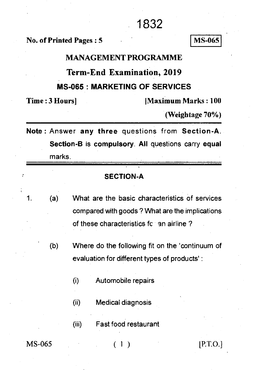# 1832

**No. of Printed Pages : 5** MS-065

### **MANAGEMENT PROGRAMME**

## **Term-End Examination, 2019**

#### **MS-065: MARKETING OF SERVICES**

**Time : 3 Hours 100 IMaximum Marks : 100** 

**(Weightage 70%)** 

Note : Answer **any three** questions from **Section-A. Section-B is compulsory. All** questions carry **equal**  marks.

#### **SECTION-A**

1. (a) What are the basic characteristics of services compared with goods ? What are the implications of these characteristics fc an airline?

> (b) Where do the following fit on the 'continuum of evaluation for different types of products' :

> > (i) Automobile repairs

(ii) Medical diagnosis

(iii) Fast food restaurant

 $MS-065$  (1) [P.T.O.]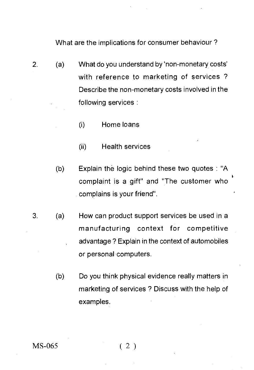What are the implications for consumer behaviour ?

- 2. (a) What do you understand by 'non-monetary costs' with reference to marketing of services ? Describe the non-monetary costs involved in the following services :
	- (i) Home loans
	- (ii) Health services
	- (b) Explain the logic behind these two quotes : "A complaint is a gift" and "The customer who complains is your friend".
- 3. (a) How can product support services be used in a manufacturing context for competitive advantage ? Explain in the context of automobiles or personal computers.
	- (b) Do you think physical evidence really matters in marketing of services ? Discuss with the help of examples.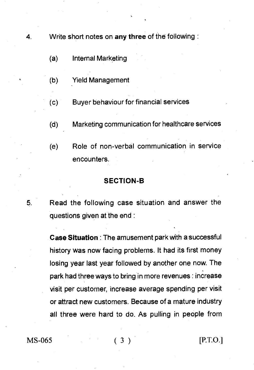4. Write short notes on **any three** of the following :

- (a) Internal Marketing
- (b) Yield Management

(c) Buyer behaviour for financial services

- (d) Marketing communication for healthcare services
- (e) Role of non-verbal communication in service encounters.

#### **SECTION-B**

5. Read the following case situation and answer the questions given at the end :

> **Case Situation :** The amusement park with a successful history was now facing problems. It had its first money losing year last year followed by another one now. The park had three ways to bring in more revenues : increase visit per customer, increase average spending per visit or attract new customers. Because of a mature industry all three were hard to do. As pulling in people from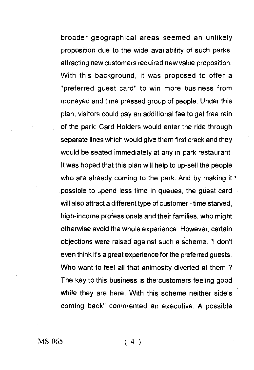broader geographical areas seemed an unlikely proposition due to the wide availability of such parks, attracting new customers required new value proposition. With this background, it was proposed to offer a "preferred guest card" to win more business from moneyed and time pressed group of people. Under this plan, visitors could pay an additional fee to get free rein of the park: Card Holders would enter the ride through separate lines which would give them first crack and they would be seated immediately at any in-park restaurant. It was hoped that this plan will help to up-sell the people who are already coming to the park. And by making it ' possible to spend less time in queues, the guest card will also attract a different type of customer - time starved, high-income professionals and their families, who might otherwise avoid the whole experience. However, certain objections were raised against such a scheme. "I don't even think it's a great experience for the preferred guests. Who want to feel all that animosity diverted at them ? The key to this business is the customers feeling good while they are here. With this scheme neither side's coming back" commented an executive. A possible